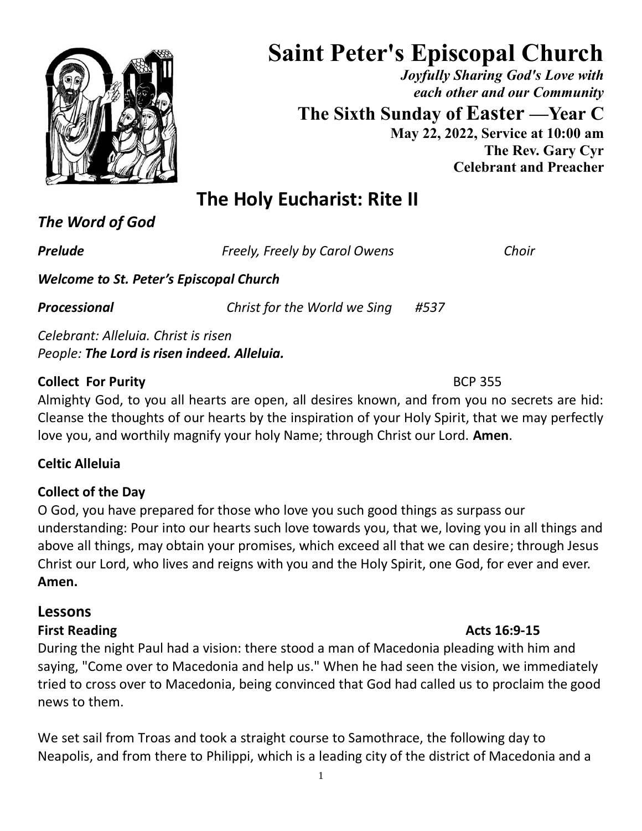

# **Saint Peter's Episcopal Church**

*Joyfully Sharing God's Love with each other and our Community*

 **The Sixth Sunday of Easter —Year C**

**May 22, 2022, Service at 10:00 am The Rev. Gary Cyr Celebrant and Preacher**

# **The Holy Eucharist: Rite II**

*The Word of God*

*Prelude Freely, Freely by Carol Owens Choir*

*Welcome to St. Peter's Episcopal Church*

*Processional Christ for the World we Sing #537* 

*Celebrant: Alleluia. Christ is risen People: The Lord is risen indeed. Alleluia.*

# **Collect For Purity**  BCP 355

Almighty God, to you all hearts are open, all desires known, and from you no secrets are hid: Cleanse the thoughts of our hearts by the inspiration of your Holy Spirit, that we may perfectly love you, and worthily magnify your holy Name; through Christ our Lord. **Amen**.

# **Celtic Alleluia**

# **Collect of the Day**

O God, you have prepared for those who love you such good things as surpass our understanding: Pour into our hearts such love towards you, that we, loving you in all things and above all things, may obtain your promises, which exceed all that we can desire; through Jesus Christ our Lord, who lives and reigns with you and the Holy Spirit, one God, for ever and ever. **Amen.**

# **Lessons**

### **First Reading Acts 16:9-15**

During the night Paul had a vision: there stood a man of Macedonia pleading with him and saying, "Come over to Macedonia and help us." When he had seen the vision, we immediately tried to cross over to Macedonia, being convinced that God had called us to proclaim the good news to them.

We set sail from Troas and took a straight course to Samothrace, the following day to Neapolis, and from there to Philippi, which is a leading city of the district of Macedonia and a

1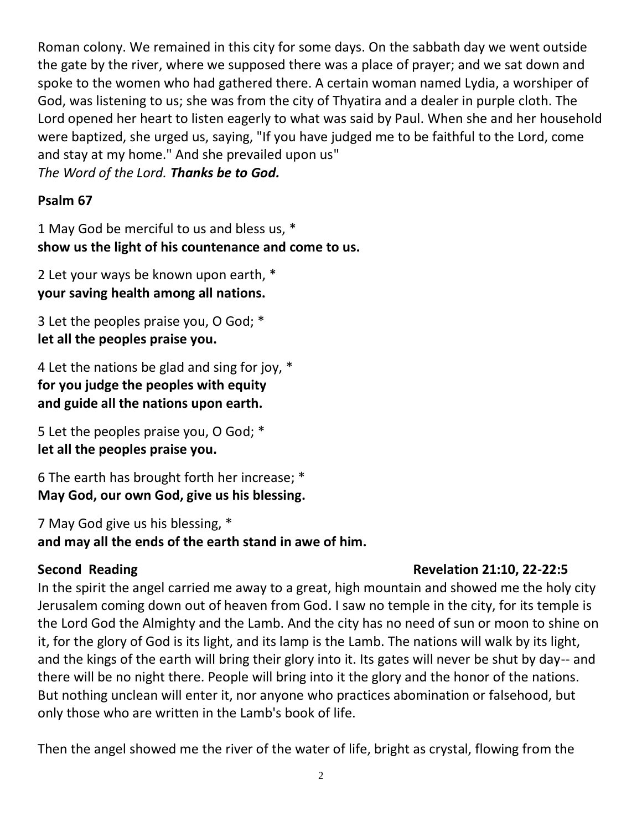Roman colony. We remained in this city for some days. On the sabbath day we went outside the gate by the river, where we supposed there was a place of prayer; and we sat down and spoke to the women who had gathered there. A certain woman named Lydia, a worshiper of God, was listening to us; she was from the city of Thyatira and a dealer in purple cloth. The Lord opened her heart to listen eagerly to what was said by Paul. When she and her household were baptized, she urged us, saying, "If you have judged me to be faithful to the Lord, come and stay at my home." And she prevailed upon us" *The Word of the Lord. Thanks be to God.*

#### **Psalm 67**

1 May God be merciful to us and bless us, \* **show us the light of his countenance and come to us.**

2 Let your ways be known upon earth, \* **your saving health among all nations.**

3 Let the peoples praise you, O God; \* **let all the peoples praise you.**

4 Let the nations be glad and sing for joy, \* **for you judge the peoples with equity and guide all the nations upon earth.**

5 Let the peoples praise you, O God; \* **let all the peoples praise you.**

6 The earth has brought forth her increase; \* **May God, our own God, give us his blessing.**

7 May God give us his blessing, \* **and may all the ends of the earth stand in awe of him.**

#### **Second Reading Constraining Second Revelation 21:10, 22-22:5**

In the spirit the angel carried me away to a great, high mountain and showed me the holy city Jerusalem coming down out of heaven from God. I saw no temple in the city, for its temple is the Lord God the Almighty and the Lamb. And the city has no need of sun or moon to shine on it, for the glory of God is its light, and its lamp is the Lamb. The nations will walk by its light, and the kings of the earth will bring their glory into it. Its gates will never be shut by day-- and there will be no night there. People will bring into it the glory and the honor of the nations. But nothing unclean will enter it, nor anyone who practices abomination or falsehood, but only those who are written in the Lamb's book of life.

Then the angel showed me the river of the water of life, bright as crystal, flowing from the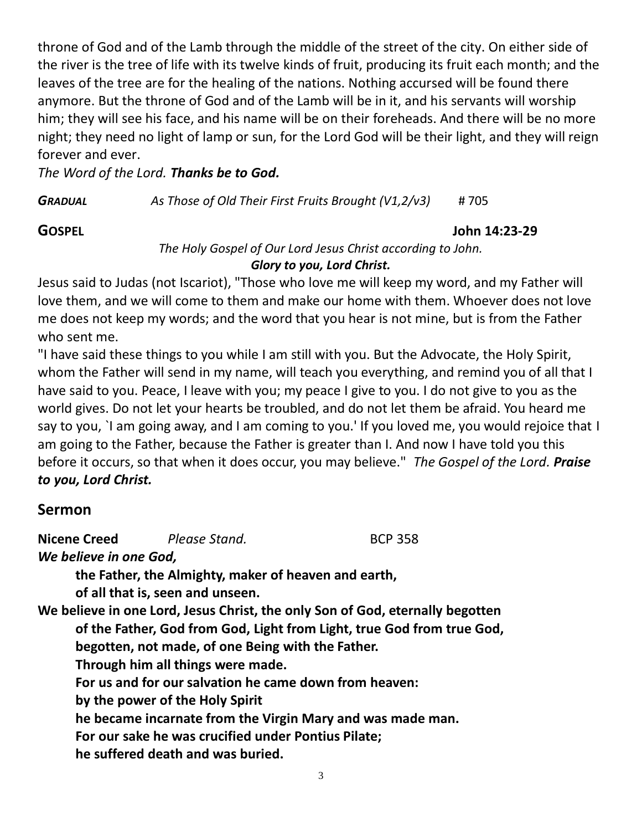throne of God and of the Lamb through the middle of the street of the city. On either side of the river is the tree of life with its twelve kinds of fruit, producing its fruit each month; and the leaves of the tree are for the healing of the nations. Nothing accursed will be found there anymore. But the throne of God and of the Lamb will be in it, and his servants will worship him; they will see his face, and his name will be on their foreheads. And there will be no more night; they need no light of lamp or sun, for the Lord God will be their light, and they will reign forever and ever.

*The Word of the Lord. Thanks be to God.*

*GRADUAL As Those of Old Their First Fruits Brought (V1,2/v3)* # 705

#### **GOSPEL John 14:23-29**

#### *The Holy Gospel of Our Lord Jesus Christ according to John. Glory to you, Lord Christ.*

Jesus said to Judas (not Iscariot), "Those who love me will keep my word, and my Father will love them, and we will come to them and make our home with them. Whoever does not love me does not keep my words; and the word that you hear is not mine, but is from the Father who sent me.

"I have said these things to you while I am still with you. But the Advocate, the Holy Spirit, whom the Father will send in my name, will teach you everything, and remind you of all that I have said to you. Peace, I leave with you; my peace I give to you. I do not give to you as the world gives. Do not let your hearts be troubled, and do not let them be afraid. You heard me say to you, I am going away, and I am coming to you.' If you loved me, you would rejoice that I am going to the Father, because the Father is greater than I. And now I have told you this before it occurs, so that when it does occur, you may believe." *The Gospel of the Lord. Praise to you, Lord Christ.*

# **Sermon**

|                        | Nicene Creed Please Stand.                                 | <b>BCP 358</b>                                                                |
|------------------------|------------------------------------------------------------|-------------------------------------------------------------------------------|
| We believe in one God, |                                                            |                                                                               |
|                        | the Father, the Almighty, maker of heaven and earth,       |                                                                               |
|                        | of all that is, seen and unseen.                           |                                                                               |
|                        |                                                            | We believe in one Lord, Jesus Christ, the only Son of God, eternally begotten |
|                        |                                                            | of the Father, God from God, Light from Light, true God from true God,        |
|                        | begotten, not made, of one Being with the Father.          |                                                                               |
|                        | Through him all things were made.                          |                                                                               |
|                        | For us and for our salvation he came down from heaven:     |                                                                               |
|                        | by the power of the Holy Spirit                            |                                                                               |
|                        | he became incarnate from the Virgin Mary and was made man. |                                                                               |
|                        | For our sake he was crucified under Pontius Pilate;        |                                                                               |
|                        | he suffered death and was buried.                          |                                                                               |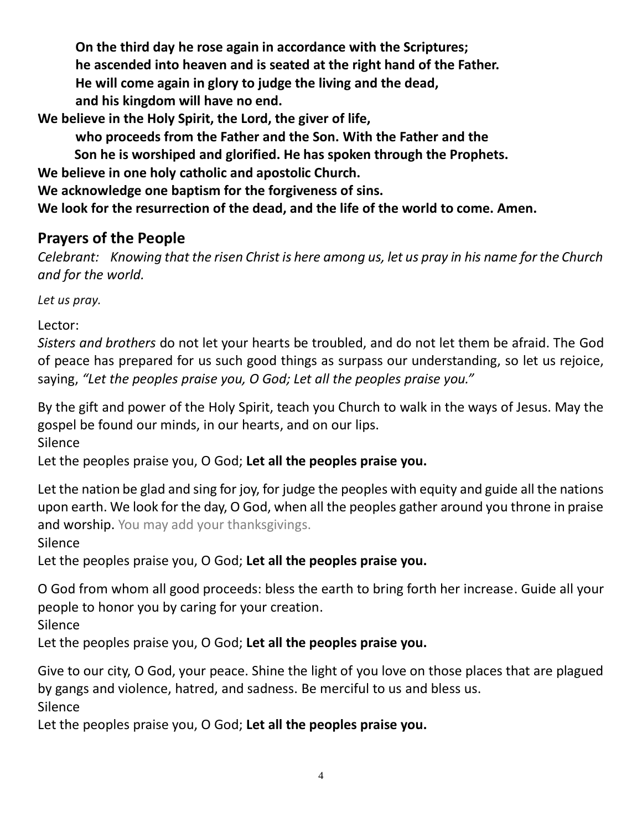**On the third day he rose again in accordance with the Scriptures; he ascended into heaven and is seated at the right hand of the Father. He will come again in glory to judge the living and the dead, and his kingdom will have no end.** 

**We believe in the Holy Spirit, the Lord, the giver of life,** 

**who proceeds from the Father and the Son. With the Father and the** 

 **Son he is worshiped and glorified. He has spoken through the Prophets.** 

**We believe in one holy catholic and apostolic Church.**

**We acknowledge one baptism for the forgiveness of sins.** 

**We look for the resurrection of the dead, and the life of the world to come. Amen.** 

# **Prayers of the People**

*Celebrant: Knowing that the risen Christ is here among us, let us pray in his name for the Church and for the world.*

*Let us pray.* 

Lector:

*Sisters and brothers* do not let your hearts be troubled, and do not let them be afraid. The God of peace has prepared for us such good things as surpass our understanding, so let us rejoice, saying, *"Let the peoples praise you, O God; Let all the peoples praise you."*

By the gift and power of the Holy Spirit, teach you Church to walk in the ways of Jesus. May the gospel be found our minds, in our hearts, and on our lips.

Silence

Let the peoples praise you, O God; **Let all the peoples praise you.**

Let the nation be glad and sing for joy, for judge the peoples with equity and guide all the nations upon earth. We look for the day, O God, when all the peoples gather around you throne in praise and worship. You may add your thanksgivings.

Silence

Let the peoples praise you, O God; **Let all the peoples praise you.**

O God from whom all good proceeds: bless the earth to bring forth her increase. Guide all your people to honor you by caring for your creation.

Silence

Let the peoples praise you, O God; **Let all the peoples praise you.**

Give to our city, O God, your peace. Shine the light of you love on those places that are plagued by gangs and violence, hatred, and sadness. Be merciful to us and bless us. Silence

Let the peoples praise you, O God; **Let all the peoples praise you.**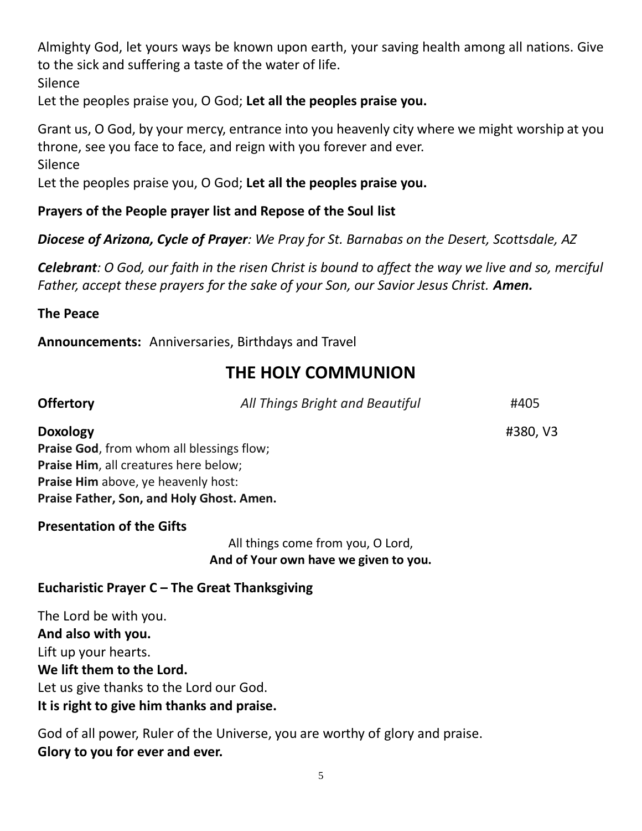Almighty God, let yours ways be known upon earth, your saving health among all nations. Give to the sick and suffering a taste of the water of life.

Silence

Let the peoples praise you, O God; **Let all the peoples praise you.**

Grant us, O God, by your mercy, entrance into you heavenly city where we might worship at you throne, see you face to face, and reign with you forever and ever. Silence

Let the peoples praise you, O God; **Let all the peoples praise you.**

### **Prayers of the People prayer list and Repose of the Soul list**

*Diocese of Arizona, Cycle of Prayer: We Pray for St. Barnabas on the Desert, Scottsdale, AZ*

*Celebrant: O God, our faith in the risen Christ is bound to affect the way we live and so, merciful Father, accept these prayers for the sake of your Son, our Savior Jesus Christ. Amen.*

**The Peace**

**Announcements:** Anniversaries, Birthdays and Travel

# **THE HOLY COMMUNION**

| <b>Offertory</b>                                 | All Things Bright and Beautiful       | #405     |
|--------------------------------------------------|---------------------------------------|----------|
| <b>Doxology</b>                                  |                                       | #380, V3 |
| <b>Praise God, from whom all blessings flow;</b> |                                       |          |
| Praise Him, all creatures here below;            |                                       |          |
| <b>Praise Him</b> above, ye heavenly host:       |                                       |          |
| Praise Father, Son, and Holy Ghost. Amen.        |                                       |          |
| <b>Presentation of the Gifts</b>                 |                                       |          |
|                                                  | All things come from you, O Lord,     |          |
|                                                  | And of Your own have we given to you. |          |
| Eucharistic Prayer C – The Great Thanksgiving    |                                       |          |
| The Lord be with you.                            |                                       |          |
| ابرمیز واخترید مواج امور                         |                                       |          |

**And also with you.** Lift up your hearts. **We lift them to the Lord.** Let us give thanks to the Lord our God. **It is right to give him thanks and praise.**

God of all power, Ruler of the Universe, you are worthy of glory and praise. **Glory to you for ever and ever.**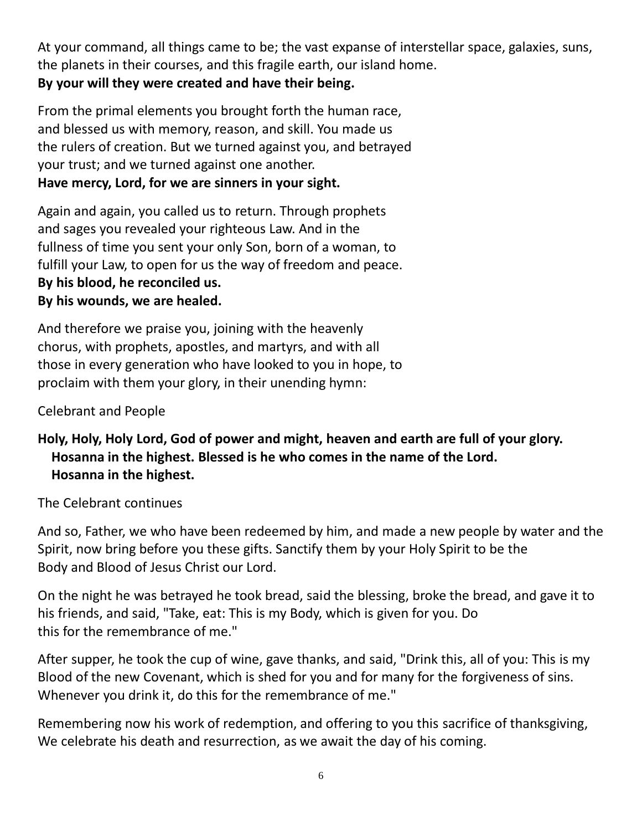At your command, all things came to be; the vast expanse of interstellar space, galaxies, suns, the planets in their courses, and this fragile earth, our island home. **By your will they were created and have their being.**

From the primal elements you brought forth the human race, and blessed us with memory, reason, and skill. You made us the rulers of creation. But we turned against you, and betrayed your trust; and we turned against one another. **Have mercy, Lord, for we are sinners in your sight.**

Again and again, you called us to return. Through prophets and sages you revealed your righteous Law. And in the fullness of time you sent your only Son, born of a woman, to fulfill your Law, to open for us the way of freedom and peace. **By his blood, he reconciled us. By his wounds, we are healed.**

And therefore we praise you, joining with the heavenly chorus, with prophets, apostles, and martyrs, and with all those in every generation who have looked to you in hope, to proclaim with them your glory, in their unending hymn:

Celebrant and People

### **Holy, Holy, Holy Lord, God of power and might, heaven and earth are full of your glory. Hosanna in the highest. Blessed is he who comes in the name of the Lord. Hosanna in the highest.**

The Celebrant continues

And so, Father, we who have been redeemed by him, and made a new people by water and the Spirit, now bring before you these gifts. Sanctify them by your Holy Spirit to be the Body and Blood of Jesus Christ our Lord.

On the night he was betrayed he took bread, said the blessing, broke the bread, and gave it to his friends, and said, "Take, eat: This is my Body, which is given for you. Do this for the remembrance of me."

After supper, he took the cup of wine, gave thanks, and said, "Drink this, all of you: This is my Blood of the new Covenant, which is shed for you and for many for the forgiveness of sins. Whenever you drink it, do this for the remembrance of me."

Remembering now his work of redemption, and offering to you this sacrifice of thanksgiving, We celebrate his death and resurrection, as we await the day of his coming.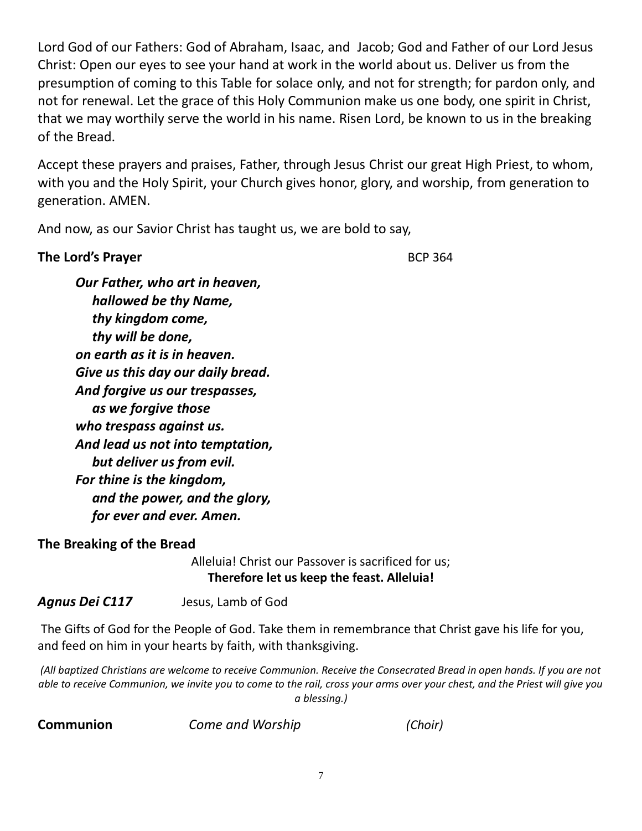Lord God of our Fathers: God of Abraham, Isaac, and Jacob; God and Father of our Lord Jesus Christ: Open our eyes to see your hand at work in the world about us. Deliver us from the presumption of coming to this Table for solace only, and not for strength; for pardon only, and not for renewal. Let the grace of this Holy Communion make us one body, one spirit in Christ, that we may worthily serve the world in his name. Risen Lord, be known to us in the breaking of the Bread.

Accept these prayers and praises, Father, through Jesus Christ our great High Priest, to whom, with you and the Holy Spirit, your Church gives honor, glory, and worship, from generation to generation. AMEN.

And now, as our Savior Christ has taught us, we are bold to say,

#### **The Lord's Prayer**  BCP 364

*Our Father, who art in heaven, hallowed be thy Name, thy kingdom come, thy will be done, on earth as it is in heaven. Give us this day our daily bread. And forgive us our trespasses, as we forgive those who trespass against us. And lead us not into temptation, but deliver us from evil. For thine is the kingdom, and the power, and the glory, for ever and ever. Amen.*

**The Breaking of the Bread**

Alleluia! Christ our Passover is sacrificed for us; **Therefore let us keep the feast. Alleluia!**

*Agnus Dei C117*Jesus, Lamb of God

The Gifts of God for the People of God. Take them in remembrance that Christ gave his life for you, and feed on him in your hearts by faith, with thanksgiving.

*(All baptized Christians are welcome to receive Communion. Receive the Consecrated Bread in open hands. If you are not able to receive Communion, we invite you to come to the rail, cross your arms over your chest, and the Priest will give you a blessing.)*

**Communion** *Come and Worship (Choir)*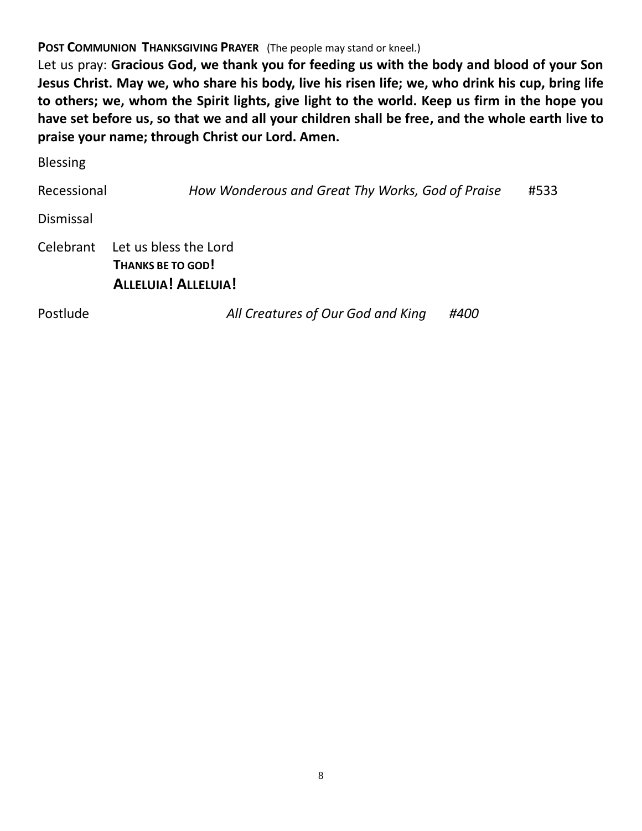**POST COMMUNION THANKSGIVING PRAYER** (The people may stand or kneel.)

Let us pray: **Gracious God, we thank you for feeding us with the body and blood of your Son Jesus Christ. May we, who share his body, live his risen life; we, who drink his cup, bring life to others; we, whom the Spirit lights, give light to the world. Keep us firm in the hope you have set before us, so that we and all your children shall be free, and the whole earth live to praise your name; through Christ our Lord. Amen.**

| <b>Blessing</b> |                                                                                 |      |
|-----------------|---------------------------------------------------------------------------------|------|
| Recessional     | How Wonderous and Great Thy Works, God of Praise                                | #533 |
| Dismissal       |                                                                                 |      |
| Celebrant       | Let us bless the Lord<br><b>THANKS BE TO GOD!</b><br><b>ALLELUIA! ALLELUIA!</b> |      |
| Postlude        | All Creatures of Our God and King<br>#400                                       |      |